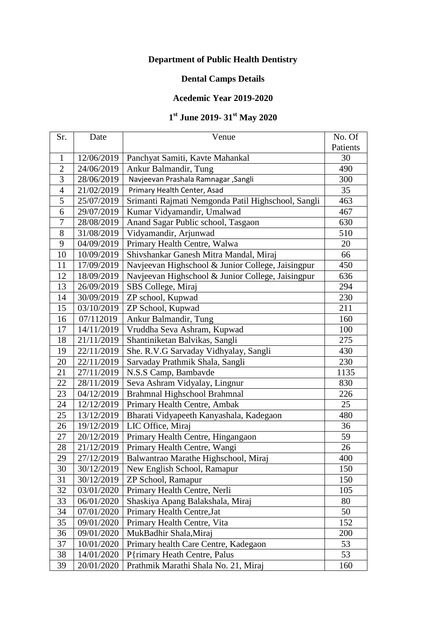## **Department of Public Health Dentistry**

## **Dental Camps Details**

## **Acedemic Year 2019-2020**

## **st June 2019- 31st May 2020**

| Sr.            | Date       | Venue                                              | No. Of   |
|----------------|------------|----------------------------------------------------|----------|
|                |            |                                                    | Patients |
| 1              | 12/06/2019 | Panchyat Samiti, Kavte Mahankal                    | 30       |
| $\overline{2}$ | 24/06/2019 | Ankur Balmandir, Tung                              | 490      |
| 3              | 28/06/2019 | Navjeevan Prashala Ramnagar , Sangli               | 300      |
| $\overline{4}$ | 21/02/2019 | Primary Health Center, Asad                        | 35       |
| 5              | 25/07/2019 | Srimanti Rajmati Nemgonda Patil Highschool, Sangli | 463      |
| 6              | 29/07/2019 | Kumar Vidyamandir, Umalwad                         | 467      |
| 7              | 28/08/2019 | Anand Sagar Public school, Tasgaon                 | 630      |
| 8              | 31/08/2019 | Vidyamandir, Arjunwad                              | 510      |
| 9              | 04/09/2019 | Primary Health Centre, Walwa                       | 20       |
| 10             | 10/09/2019 | Shivshankar Ganesh Mitra Mandal, Miraj             | 66       |
| 11             | 17/09/2019 | Navjeevan Highschool & Junior College, Jaisingpur  | 450      |
| 12             | 18/09/2019 | Navjeevan Highschool & Junior College, Jaisingpur  | 636      |
| 13             | 26/09/2019 | SBS College, Miraj                                 | 294      |
| 14             | 30/09/2019 | ZP school, Kupwad                                  | 230      |
| 15             | 03/10/2019 | ZP School, Kupwad                                  | 211      |
| 16             | 07/112019  | Ankur Balmandir, Tung                              | 160      |
| 17             | 14/11/2019 | Vruddha Seva Ashram, Kupwad                        | 100      |
| 18             | 21/11/2019 | Shantiniketan Balvikas, Sangli                     | 275      |
| 19             | 22/11/2019 | She. R.V.G Sarvaday Vidhyalay, Sangli              | 430      |
| 20             | 22/11/2019 | Sarvaday Prathmik Shala, Sangli                    | 230      |
| 21             | 27/11/2019 | N.S.S Camp, Bambavde                               | 1135     |
| 22             | 28/11/2019 | Seva Ashram Vidyalay, Lingnur                      | 830      |
| 23             | 04/12/2019 | Brahmnal Highschool Brahmnal                       | 226      |
| 24             | 12/12/2019 | Primary Health Centre, Ambak                       | 25       |
| 25             | 13/12/2019 | Bharati Vidyapeeth Kanyashala, Kadegaon            | 480      |
| 26             | 19/12/2019 | LIC Office, Miraj                                  | 36       |
| 27             | 20/12/2019 | Primary Health Centre, Hingangaon                  | 59       |
| 28             | 21/12/2019 | Primary Health Centre, Wangi                       | 26       |
| 29             | 27/12/2019 | Balwantrao Marathe Highschool, Miraj               | 400      |
| 30             | 30/12/2019 | New English School, Ramapur                        | 150      |
| 31             | 30/12/2019 | ZP School, Ramapur                                 | 150      |
| 32             | 03/01/2020 | Primary Health Centre, Nerli                       | 105      |
| 33             | 06/01/2020 | Shaskiya Apang Balakshala, Miraj                   | 80       |
| 34             | 07/01/2020 | Primary Health Centre, Jat                         | 50       |
| 35             | 09/01/2020 | Primary Health Centre, Vita                        | 152      |
| 36             | 09/01/2020 | MukBadhir Shala, Miraj                             | 200      |
| 37             | 10/01/2020 | Primary health Care Centre, Kadegaon               | 53       |
| 38             | 14/01/2020 | P{rimary Heath Centre, Palus                       | 53       |
| 39             | 20/01/2020 | Prathmik Marathi Shala No. 21, Miraj               | 160      |